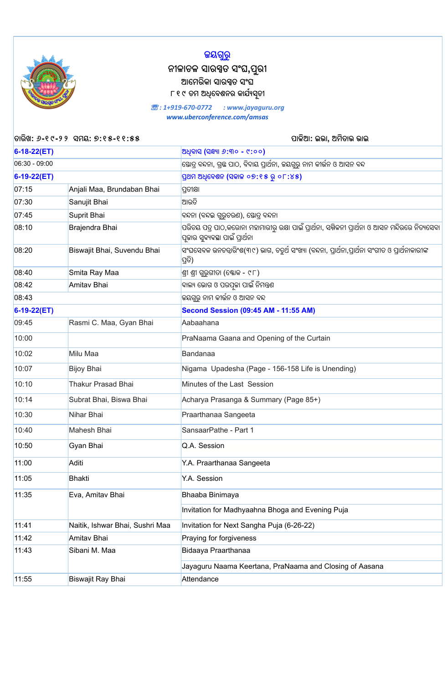

## **ଜୟଗୁରୁ**

## **ନୀଳାଚଳ ସାରତ ସଂଘ,ପରୁ ୀ ଆେମରିକା ସାରତ ସଂଘ ୮୧୯ ତମ ଅେବଶନର କାଯସଚୂ ୀ**

## ☏ *: 1+919-670-0772 : [www.jayaguru.org](http://jayaguru.org/events/event_live_streaming) [www.uberconference.com/amsas](http://www.uberconference.com/amsas)*

| ଚାରିଖ: ୬-୧୯-୨୨  ସମୟ: ୭:୧୫-୧୧:୫୫ |                                 | ପାଳିଆ: ଇଭା, ଅମିତାଭ ଭାଇ                                                                                                               |
|---------------------------------|---------------------------------|--------------------------------------------------------------------------------------------------------------------------------------|
| $6-18-22(ET)$                   |                                 | ଅଧିବାସ (ସନ୍ଧ୍ୟା ୬:୩୦ - ୯:୦୦)                                                                                                         |
| $06:30 - 09:00$                 |                                 | ଷ୍ଡୋତ୍ର ବନ୍ଦନା, ଗ୍ରୁଛ ପାଠ, ବିଦାୟ ପ୍ରାର୍ଥନା, ଜୟଗୁରୁ ନାମ କୀର୍ତ୍ତନ ଓ ଆସନ ବନ୍ଦ                                                           |
| $6-19-22(ET)$                   |                                 | ପ୍ରଥମ ଅଧିବେଶନ (ସକାଳ ୦୭:୧୫ ରୁ ୦୮:୪୫)                                                                                                  |
| 07:15                           | Anjali Maa, Brundaban Bhai      | ପ୍ରତୀକ୍ଷା                                                                                                                            |
| 07:30                           | Sanujit Bhai                    | ଆରତି                                                                                                                                 |
| 07:45                           | Suprit Bhai                     | ବନ୍ଦନା (ବନ୍ଦଇ ଗୁରୁଚରଣ), ସ୍ତୋତ୍ୱ ବନ୍ଦନା                                                                                               |
| 08:10                           | Brajendra Bhai                  | ପରିଚୟ ପତ୍ର ପାଠ,କରୋନା ମହାମାରୀରୁ ରକ୍ଷା ପାଇଁ ପ୍ରାର୍ଥନା, ସମ୍ମିଳନୀ ପ୍ରାର୍ଥନା ଓ ଆସନ ମନ୍ଦିରରେ ନିତ୍ୟସେବା<br>ପ୍ରକାର ସୁବ୍ୟବସ୍ଥା ପାଇଁ ପ୍ରାର୍ଥନା |
| 08:20                           | Biswajit Bhai, Suvendu Bhai     | ସଂଘସେବକ ଉନଚତ୍ତାରିଂଶ(୩୯) ଭାଗ, ଚତୁର୍ଥ ସଂଖ୍ୟା (ବନ୍ଦନା, ପ୍ରାର୍ଥନା,ପ୍ରାର୍ଥନା ସଂଗୀତ ଓ ପ୍ରାର୍ଥନାକାରୀଙ୍କ<br>ପ୍ରତି)                           |
| 08:40                           | Smita Ray Maa                   | ଶ୍ରୀ ଶ୍ରୀ ଗୁରୁଗୀତା (କ୍ଳୋକ - ୯୮)                                                                                                      |
| 08:42                           | Amitav Bhai                     | ବାଲ୍ୟ ଭୋଗ ଓ ପରପ୍ରକା ପାଇଁ ନିମନ୍ତ୍ରଣ                                                                                                   |
| 08:43                           |                                 | କୟଗରୁ ନାମ କୀର୍ତ୍ତନ ଓ ଆସନ ବନ୍ଦ                                                                                                        |
| $6-19-22(ET)$                   |                                 | <b>Second Session (09:45 AM - 11:55 AM)</b>                                                                                          |
| 09:45                           | Rasmi C. Maa, Gyan Bhai         | Aabaahana                                                                                                                            |
| 10:00                           |                                 | PraNaama Gaana and Opening of the Curtain                                                                                            |
| 10:02                           | Milu Maa                        | <b>Bandanaa</b>                                                                                                                      |
| 10:07                           | <b>Bijoy Bhai</b>               | Nigama Upadesha (Page - 156-158 Life is Unending)                                                                                    |
| 10:10                           | Thakur Prasad Bhai              | Minutes of the Last Session                                                                                                          |
| 10:14                           | Subrat Bhai, Biswa Bhai         | Acharya Prasanga & Summary (Page 85+)                                                                                                |
| 10:30                           | Nihar Bhai                      | Praarthanaa Sangeeta                                                                                                                 |
| 10:40                           | Mahesh Bhai                     | SansaarPathe - Part 1                                                                                                                |
| 10:50                           | Gyan Bhai                       | Q.A. Session                                                                                                                         |
| 11:00                           | Aditi                           | Y.A. Praarthanaa Sangeeta                                                                                                            |
| 11:05                           | <b>Bhakti</b>                   | Y.A. Session                                                                                                                         |
| 11:35                           | Eva, Amitav Bhai                | Bhaaba Binimaya                                                                                                                      |
|                                 |                                 | Invitation for Madhyaahna Bhoga and Evening Puja                                                                                     |
| 11:41                           | Naitik, Ishwar Bhai, Sushri Maa | Invitation for Next Sangha Puja (6-26-22)                                                                                            |
| 11:42                           | Amitav Bhai                     | Praying for forgiveness                                                                                                              |
| 11:43                           | Sibani M. Maa                   | Bidaaya Praarthanaa                                                                                                                  |
|                                 |                                 | Jayaguru Naama Keertana, PraNaama and Closing of Aasana                                                                              |
| 11:55                           | Biswajit Ray Bhai               | Attendance                                                                                                                           |